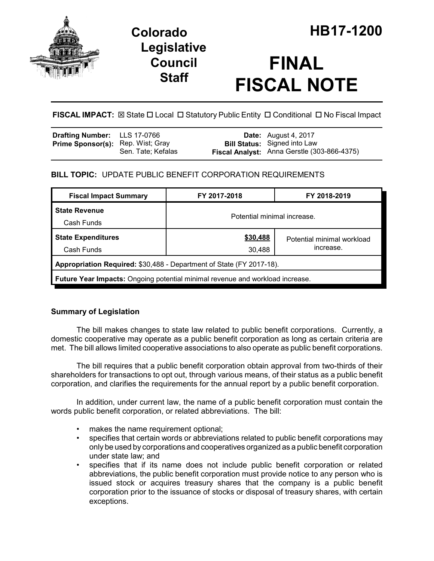

## **Legislative Council Staff**

# **FINAL FISCAL NOTE**

## FISCAL IMPACT:  $\boxtimes$  State  $\Box$  Local  $\Box$  Statutory Public Entity  $\Box$  Conditional  $\Box$  No Fiscal Impact

| Drafting Number: LLS 17-0766             |                    | <b>Date:</b> August 4, 2017                                                        |
|------------------------------------------|--------------------|------------------------------------------------------------------------------------|
| <b>Prime Sponsor(s):</b> Rep. Wist; Gray | Sen. Tate: Kefalas | <b>Bill Status:</b> Signed into Law<br>Fiscal Analyst: Anna Gerstle (303-866-4375) |
|                                          |                    |                                                                                    |

### **BILL TOPIC:** UPDATE PUBLIC BENEFIT CORPORATION REQUIREMENTS

| <b>Fiscal Impact Summary</b>                                                         | FY 2017-2018                | FY 2018-2019               |  |  |  |
|--------------------------------------------------------------------------------------|-----------------------------|----------------------------|--|--|--|
| <b>State Revenue</b>                                                                 | Potential minimal increase. |                            |  |  |  |
| Cash Funds                                                                           |                             |                            |  |  |  |
| <b>State Expenditures</b>                                                            | \$30,488                    | Potential minimal workload |  |  |  |
| Cash Funds                                                                           | 30,488                      | increase.                  |  |  |  |
| Appropriation Required: \$30,488 - Department of State (FY 2017-18).                 |                             |                            |  |  |  |
| <b>Future Year Impacts:</b> Ongoing potential minimal revenue and workload increase. |                             |                            |  |  |  |

## **Summary of Legislation**

The bill makes changes to state law related to public benefit corporations. Currently, a domestic cooperative may operate as a public benefit corporation as long as certain criteria are met. The bill allows limited cooperative associations to also operate as public benefit corporations.

The bill requires that a public benefit corporation obtain approval from two-thirds of their shareholders for transactions to opt out, through various means, of their status as a public benefit corporation, and clarifies the requirements for the annual report by a public benefit corporation.

In addition, under current law, the name of a public benefit corporation must contain the words public benefit corporation, or related abbreviations. The bill:

- makes the name requirement optional;
- specifies that certain words or abbreviations related to public benefit corporations may only be used by corporations and cooperatives organized as a public benefit corporation under state law; and
- specifies that if its name does not include public benefit corporation or related abbreviations, the public benefit corporation must provide notice to any person who is issued stock or acquires treasury shares that the company is a public benefit corporation prior to the issuance of stocks or disposal of treasury shares, with certain exceptions.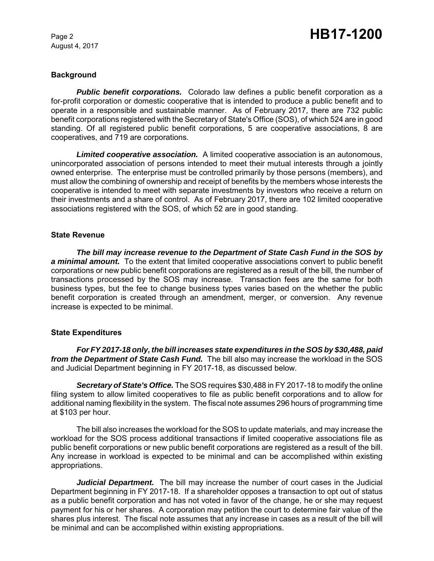August 4, 2017

#### **Background**

*Public benefit corporations.* Colorado law defines a public benefit corporation as a for-profit corporation or domestic cooperative that is intended to produce a public benefit and to operate in a responsible and sustainable manner. As of February 2017, there are 732 public benefit corporations registered with the Secretary of State's Office (SOS), of which 524 are in good standing. Of all registered public benefit corporations, 5 are cooperative associations, 8 are cooperatives, and 719 are corporations.

*Limited cooperative association.* A limited cooperative association is an autonomous, unincorporated association of persons intended to meet their mutual interests through a jointly owned enterprise. The enterprise must be controlled primarily by those persons (members), and must allow the combining of ownership and receipt of benefits by the members whose interests the cooperative is intended to meet with separate investments by investors who receive a return on their investments and a share of control. As of February 2017, there are 102 limited cooperative associations registered with the SOS, of which 52 are in good standing.

#### **State Revenue**

*The bill may increase revenue to the Department of State Cash Fund in the SOS by a minimal amount.* To the extent that limited cooperative associations convert to public benefit corporations or new public benefit corporations are registered as a result of the bill, the number of transactions processed by the SOS may increase. Transaction fees are the same for both business types, but the fee to change business types varies based on the whether the public benefit corporation is created through an amendment, merger, or conversion. Any revenue increase is expected to be minimal.

#### **State Expenditures**

*For FY 2017-18 only, the bill increases state expenditures in the SOS by \$30,488, paid from the Department of State Cash Fund.* The bill also may increase the workload in the SOS and Judicial Department beginning in FY 2017-18, as discussed below.

*Secretary of State's Office.* The SOS requires \$30,488 in FY 2017-18 to modify the online filing system to allow limited cooperatives to file as public benefit corporations and to allow for additional naming flexibility in the system. The fiscal note assumes 296 hours of programming time at \$103 per hour.

The bill also increases the workload for the SOS to update materials, and may increase the workload for the SOS process additional transactions if limited cooperative associations file as public benefit corporations or new public benefit corporations are registered as a result of the bill. Any increase in workload is expected to be minimal and can be accomplished within existing appropriations.

Judicial Department. The bill may increase the number of court cases in the Judicial Department beginning in FY 2017-18. If a shareholder opposes a transaction to opt out of status as a public benefit corporation and has not voted in favor of the change, he or she may request payment for his or her shares. A corporation may petition the court to determine fair value of the shares plus interest. The fiscal note assumes that any increase in cases as a result of the bill will be minimal and can be accomplished within existing appropriations.